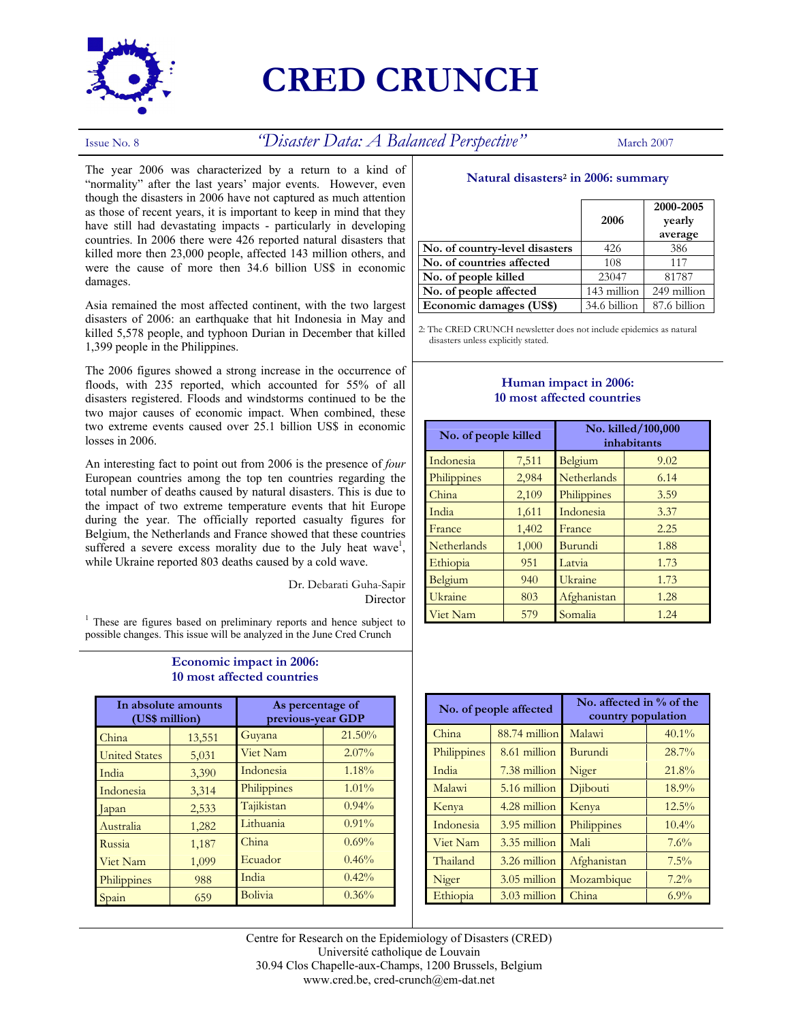

# **CRED CRUNCH**

## Issue No. 8<sup> *"Disaster Data: A Balanced Perspective"* March 2007</sup>

The year 2006 was characterized by a return to a kind of "normality" after the last years' major events. However, even though the disasters in 2006 have not captured as much attention as those of recent years, it is important to keep in mind that they have still had devastating impacts - particularly in developing countries. In 2006 there were 426 reported natural disasters that killed more then 23,000 people, affected 143 million others, and were the cause of more then 34.6 billion US\$ in economic damages.

Asia remained the most affected continent, with the two largest disasters of 2006: an earthquake that hit Indonesia in May and killed 5,578 people, and typhoon Durian in December that killed 1,399 people in the Philippines.

The 2006 figures showed a strong increase in the occurrence of floods, with 235 reported, which accounted for 55% of all disasters registered. Floods and windstorms continued to be the two major causes of economic impact. When combined, these two extreme events caused over 25.1 billion US\$ in economic losses in 2006.

An interesting fact to point out from 2006 is the presence of *four* European countries among the top ten countries regarding the total number of deaths caused by natural disasters. This is due to the impact of two extreme temperature events that hit Europe during the year. The officially reported casualty figures for Belgium, the Netherlands and France showed that these countries suffered a severe excess morality due to the July heat wave<sup>1</sup>, while Ukraine reported 803 deaths caused by a cold wave.

> Dr. Debarati Guha-Sapir Director

<sup>1</sup> These are figures based on preliminary reports and hence subject to possible changes. This issue will be analyzed in the June Cred Crunch

#### **Economic impact in 2006: 10 most affected countries**

| In absolute amounts<br>(US\$ million) |        | As percentage of<br>previous-year GDP |          |
|---------------------------------------|--------|---------------------------------------|----------|
| China                                 | 13,551 | Guyana                                | 21.50%   |
| <b>United States</b>                  | 5,031  | Viet Nam                              | $2.07\%$ |
| India                                 | 3,390  | Indonesia                             | 1.18%    |
| Indonesia                             | 3,314  | Philippines                           | $1.01\%$ |
| apan                                  | 2,533  | Tajikistan                            | $0.94\%$ |
| Australia                             | 1,282  | Lithuania                             | $0.91\%$ |
| Russia                                | 1,187  | China                                 | 0.69%    |
| Viet Nam                              | 1,099  | Ecuador                               | 0.46%    |
| Philippines                           | 988    | India                                 | 0.42%    |
| Spain                                 | 659    | Bolivia                               | 0.36%    |

#### **Natural disasters2 in 2006: summary**

|                                | 2006         | 2000-2005<br>yearly<br>average |
|--------------------------------|--------------|--------------------------------|
| No. of country-level disasters | 426          | 386                            |
| No. of countries affected      | 108          | 117                            |
| No. of people killed           | 23047        | 81787                          |
| No. of people affected         | 143 million  | 249 million                    |
| Economic damages (US\$)        | 34.6 billion | 87.6 billion                   |

2: The CRED CRUNCH newsletter does not include epidemics as natural disasters unless explicitly stated.

### **Human impact in 2006: 10 most affected countries**

| No. of people killed |       | No. killed/100,000<br>inhabitants |      |
|----------------------|-------|-----------------------------------|------|
| Indonesia            | 7,511 | Belgium                           | 9.02 |
| Philippines          | 2,984 | Netherlands                       | 6.14 |
| China                | 2,109 | Philippines                       | 3.59 |
| India                | 1,611 | Indonesia                         | 3.37 |
| France               | 1,402 | France                            | 2.25 |
| Netherlands          | 1,000 | Burundi                           | 1.88 |
| Ethiopia             | 951   | Latvia                            | 1.73 |
| Belgium              | 940   | Ukraine                           | 1.73 |
| Ukraine              | 803   | Afghanistan                       | 1.28 |
| Viet Nam             | 579   | Somalia                           | 1.24 |

| No. of people affected |               | No. affected in $%$ of the<br>country population |          |
|------------------------|---------------|--------------------------------------------------|----------|
| China                  | 88.74 million | Malawi                                           | $40.1\%$ |
| Philippines            | 8.61 million  | Burundi                                          | 28.7%    |
| India                  | 7.38 million  | Niger                                            | 21.8%    |
| Malawi                 | 5.16 million  | Djibouti                                         | 18.9%    |
| Kenya                  | 4.28 million  | Kenya                                            | $12.5\%$ |
| Indonesia              | 3.95 million  | Philippines                                      | $10.4\%$ |
| Viet Nam               | 3.35 million  | Mali                                             | 7.6%     |
| Thailand               | 3.26 million  | Afghanistan                                      | $7.5\%$  |
| Niger                  | 3.05 million  | Mozambique                                       | $7.2\%$  |
| Ethiopia               | 3.03 million  | China                                            | $6.9\%$  |

Centre for Research on the Epidemiology of Disasters (CRED) Université catholique de Louvain 30.94 Clos Chapelle-aux-Champs, 1200 Brussels, Belgium www.cred.be, cred-crunch@em-dat.net